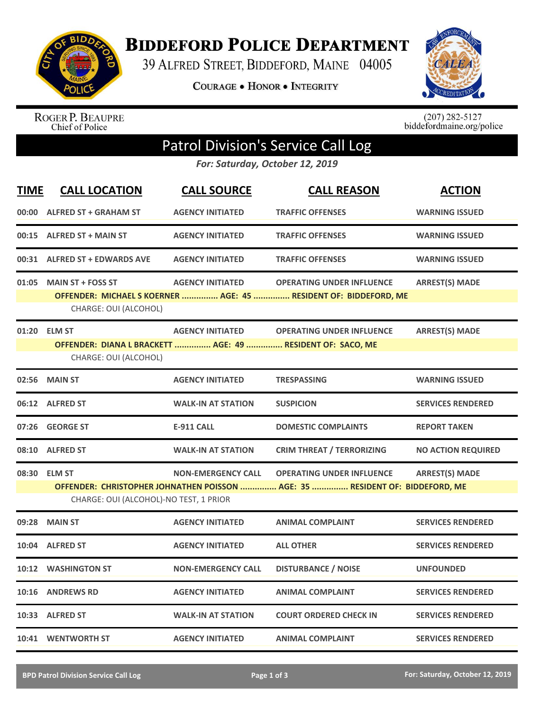

**BIDDEFORD POLICE DEPARTMENT** 

39 ALFRED STREET, BIDDEFORD, MAINE 04005

**COURAGE . HONOR . INTEGRITY** 



ROGER P. BEAUPRE<br>Chief of Police

 $(207)$  282-5127<br>biddefordmaine.org/police

## Patrol Division's Service Call Log

*For: Saturday, October 12, 2019*

| TIME                                                                                                                   | <b>CALL LOCATION</b>                                                                | <b>CALL SOURCE</b>        | <b>CALL REASON</b>                                               | <b>ACTION</b>             |
|------------------------------------------------------------------------------------------------------------------------|-------------------------------------------------------------------------------------|---------------------------|------------------------------------------------------------------|---------------------------|
|                                                                                                                        | 00:00 ALFRED ST + GRAHAM ST                                                         | <b>AGENCY INITIATED</b>   | <b>TRAFFIC OFFENSES</b>                                          | <b>WARNING ISSUED</b>     |
| 00:15                                                                                                                  | <b>ALFRED ST + MAIN ST</b>                                                          | <b>AGENCY INITIATED</b>   | <b>TRAFFIC OFFENSES</b>                                          | <b>WARNING ISSUED</b>     |
|                                                                                                                        | 00:31 ALFRED ST + EDWARDS AVE                                                       | <b>AGENCY INITIATED</b>   | <b>TRAFFIC OFFENSES</b>                                          | <b>WARNING ISSUED</b>     |
| 01:05                                                                                                                  | <b>MAIN ST + FOSS ST</b>                                                            | <b>AGENCY INITIATED</b>   | <b>OPERATING UNDER INFLUENCE</b>                                 | <b>ARREST(S) MADE</b>     |
|                                                                                                                        | CHARGE: OUI (ALCOHOL)                                                               |                           | OFFENDER: MICHAEL S KOERNER  AGE: 45  RESIDENT OF: BIDDEFORD, ME |                           |
|                                                                                                                        | 01:20 ELM ST                                                                        | <b>AGENCY INITIATED</b>   | <b>OPERATING UNDER INFLUENCE</b>                                 | <b>ARREST(S) MADE</b>     |
|                                                                                                                        | OFFENDER: DIANA L BRACKETT  AGE: 49  RESIDENT OF: SACO, ME<br>CHARGE: OUI (ALCOHOL) |                           |                                                                  |                           |
| 02:56                                                                                                                  | <b>MAIN ST</b>                                                                      | <b>AGENCY INITIATED</b>   | <b>TRESPASSING</b>                                               | <b>WARNING ISSUED</b>     |
|                                                                                                                        | 06:12 ALFRED ST                                                                     | <b>WALK-IN AT STATION</b> | <b>SUSPICION</b>                                                 | <b>SERVICES RENDERED</b>  |
| 07:26                                                                                                                  | <b>GEORGE ST</b>                                                                    | <b>E-911 CALL</b>         | <b>DOMESTIC COMPLAINTS</b>                                       | <b>REPORT TAKEN</b>       |
|                                                                                                                        | 08:10 ALFRED ST                                                                     | <b>WALK-IN AT STATION</b> | <b>CRIM THREAT / TERRORIZING</b>                                 | <b>NO ACTION REQUIRED</b> |
|                                                                                                                        | 08:30 ELM ST                                                                        | <b>NON-EMERGENCY CALL</b> | <b>OPERATING UNDER INFLUENCE</b>                                 | <b>ARREST(S) MADE</b>     |
| OFFENDER: CHRISTOPHER JOHNATHEN POISSON  AGE: 35  RESIDENT OF: BIDDEFORD, ME<br>CHARGE: OUI (ALCOHOL)-NO TEST, 1 PRIOR |                                                                                     |                           |                                                                  |                           |
| 09:28                                                                                                                  | <b>MAIN ST</b>                                                                      | <b>AGENCY INITIATED</b>   | <b>ANIMAL COMPLAINT</b>                                          | <b>SERVICES RENDERED</b>  |
| 10:04                                                                                                                  | <b>ALFRED ST</b>                                                                    | <b>AGENCY INITIATED</b>   | <b>ALL OTHER</b>                                                 | <b>SERVICES RENDERED</b>  |
|                                                                                                                        | 10:12 WASHINGTON ST                                                                 | <b>NON-EMERGENCY CALL</b> | <b>DISTURBANCE / NOISE</b>                                       | <b>UNFOUNDED</b>          |
|                                                                                                                        | 10:16 ANDREWS RD                                                                    | <b>AGENCY INITIATED</b>   | <b>ANIMAL COMPLAINT</b>                                          | <b>SERVICES RENDERED</b>  |
|                                                                                                                        | 10:33 ALFRED ST                                                                     | <b>WALK-IN AT STATION</b> | <b>COURT ORDERED CHECK IN</b>                                    | <b>SERVICES RENDERED</b>  |
|                                                                                                                        | 10:41 WENTWORTH ST                                                                  | <b>AGENCY INITIATED</b>   | <b>ANIMAL COMPLAINT</b>                                          | <b>SERVICES RENDERED</b>  |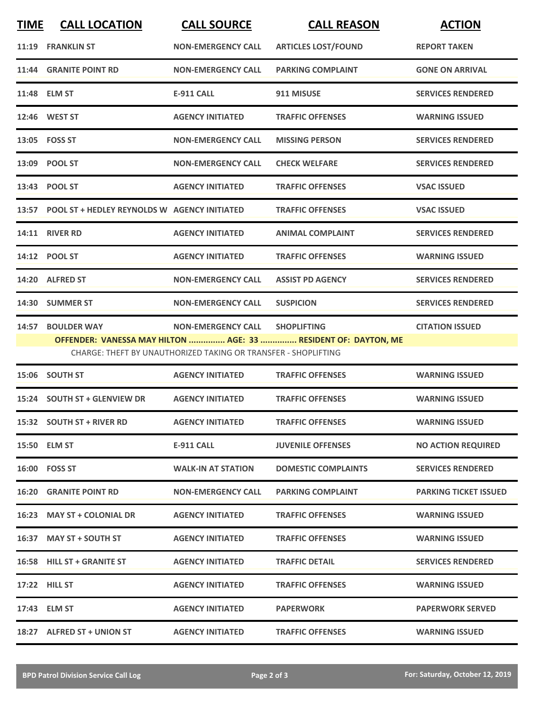| <b>TIME</b> | <b>CALL LOCATION</b>                                                            | <b>CALL SOURCE</b>             | <b>CALL REASON</b>         | <b>ACTION</b>            |  |
|-------------|---------------------------------------------------------------------------------|--------------------------------|----------------------------|--------------------------|--|
|             | 11:19 FRANKLIN ST                                                               | <b>NON-EMERGENCY CALL</b>      | <b>ARTICLES LOST/FOUND</b> | <b>REPORT TAKEN</b>      |  |
|             | 11:44 GRANITE POINT RD                                                          | <b>NON-EMERGENCY CALL</b>      | <b>PARKING COMPLAINT</b>   | <b>GONE ON ARRIVAL</b>   |  |
|             | 11:48 ELM ST                                                                    | <b>E-911 CALL</b>              | 911 MISUSE                 | <b>SERVICES RENDERED</b> |  |
|             | 12:46 WEST ST                                                                   | <b>AGENCY INITIATED</b>        | <b>TRAFFIC OFFENSES</b>    | <b>WARNING ISSUED</b>    |  |
|             | 13:05 FOSS ST                                                                   | <b>NON-EMERGENCY CALL</b>      | <b>MISSING PERSON</b>      | <b>SERVICES RENDERED</b> |  |
|             | 13:09 POOL ST                                                                   | <b>NON-EMERGENCY CALL</b>      | <b>CHECK WELFARE</b>       | <b>SERVICES RENDERED</b> |  |
|             | 13:43 POOL ST                                                                   | <b>AGENCY INITIATED</b>        | <b>TRAFFIC OFFENSES</b>    | <b>VSAC ISSUED</b>       |  |
|             | 13:57 POOL ST + HEDLEY REYNOLDS W AGENCY INITIATED                              |                                | <b>TRAFFIC OFFENSES</b>    | <b>VSAC ISSUED</b>       |  |
|             | <b>14:11 RIVER RD</b>                                                           | <b>AGENCY INITIATED</b>        | <b>ANIMAL COMPLAINT</b>    | <b>SERVICES RENDERED</b> |  |
|             | 14:12 POOL ST                                                                   | <b>AGENCY INITIATED</b>        | <b>TRAFFIC OFFENSES</b>    | <b>WARNING ISSUED</b>    |  |
|             | 14:20 ALFRED ST                                                                 | <b>NON-EMERGENCY CALL</b>      | <b>ASSIST PD AGENCY</b>    | <b>SERVICES RENDERED</b> |  |
|             | 14:30 SUMMER ST                                                                 | <b>NON-EMERGENCY CALL</b>      | <b>SUSPICION</b>           | <b>SERVICES RENDERED</b> |  |
|             | 14:57 BOULDER WAY                                                               | NON-EMERGENCY CALL SHOPLIFTING |                            | <b>CITATION ISSUED</b>   |  |
|             | OFFENDER: VANESSA MAY HILTON  AGE: 33  RESIDENT OF: DAYTON, ME                  |                                |                            |                          |  |
|             | CHARGE: THEFT BY UNAUTHORIZED TAKING OR TRANSFER - SHOPLIFTING                  |                                |                            |                          |  |
|             | $\overline{AB}$ $\overline{AC}$ $\overline{CA}$ $\overline{DB}$ $\overline{CD}$ |                                |                            |                          |  |

|       | 15:06 SOUTH ST                | <b>AGENCY INITIATED</b>   | <b>TRAFFIC OFFENSES</b>    | <b>WARNING ISSUED</b>        |
|-------|-------------------------------|---------------------------|----------------------------|------------------------------|
|       | 15:24 SOUTH ST + GLENVIEW DR  | <b>AGENCY INITIATED</b>   | <b>TRAFFIC OFFENSES</b>    | <b>WARNING ISSUED</b>        |
|       | 15:32 SOUTH ST + RIVER RD     | <b>AGENCY INITIATED</b>   | <b>TRAFFIC OFFENSES</b>    | <b>WARNING ISSUED</b>        |
|       | 15:50 ELM ST                  | <b>E-911 CALL</b>         | <b>JUVENILE OFFENSES</b>   | <b>NO ACTION REQUIRED</b>    |
|       | 16:00 FOSS ST                 | <b>WALK-IN AT STATION</b> | <b>DOMESTIC COMPLAINTS</b> | <b>SERVICES RENDERED</b>     |
|       | <b>16:20 GRANITE POINT RD</b> | <b>NON-EMERGENCY CALL</b> | <b>PARKING COMPLAINT</b>   | <b>PARKING TICKET ISSUED</b> |
| 16:23 | <b>MAY ST + COLONIAL DR</b>   | <b>AGENCY INITIATED</b>   | <b>TRAFFIC OFFENSES</b>    | <b>WARNING ISSUED</b>        |
| 16:37 | <b>MAY ST + SOUTH ST</b>      | <b>AGENCY INITIATED</b>   | <b>TRAFFIC OFFENSES</b>    | <b>WARNING ISSUED</b>        |
|       | 16:58 HILL ST + GRANITE ST    | <b>AGENCY INITIATED</b>   | <b>TRAFFIC DETAIL</b>      | <b>SERVICES RENDERED</b>     |
|       | 17:22 HILL ST                 | <b>AGENCY INITIATED</b>   | <b>TRAFFIC OFFENSES</b>    | <b>WARNING ISSUED</b>        |
|       | 17:43 ELM ST                  | <b>AGENCY INITIATED</b>   | <b>PAPERWORK</b>           | <b>PAPERWORK SERVED</b>      |
| 18:27 | <b>ALFRED ST + UNION ST</b>   | <b>AGENCY INITIATED</b>   | <b>TRAFFIC OFFENSES</b>    | <b>WARNING ISSUED</b>        |